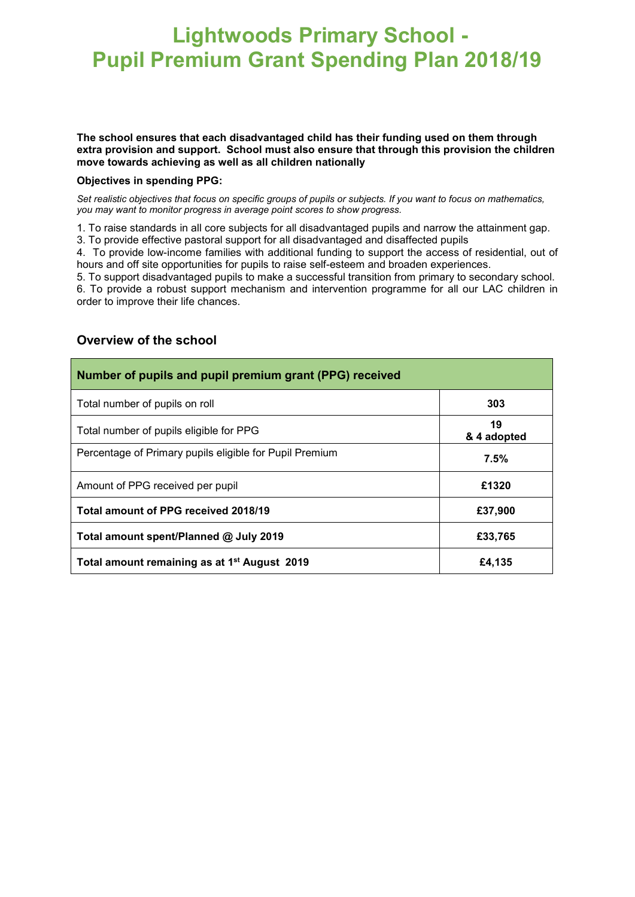## **Lightwoods Primary School - Pupil Premium Grant Spending Plan 2018/19**

## **The school ensures that each disadvantaged child has their funding used on them through extra provision and support. School must also ensure that through this provision the children move towards achieving as well as all children nationally**

## **Objectives in spending PPG:**

*Set realistic objectives that focus on specific groups of pupils or subjects. If you want to focus on mathematics, you may want to monitor progress in average point scores to show progress.*

1. To raise standards in all core subjects for all disadvantaged pupils and narrow the attainment gap. 3. To provide effective pastoral support for all disadvantaged and disaffected pupils

4. To provide low-income families with additional funding to support the access of residential, out of hours and off site opportunities for pupils to raise self-esteem and broaden experiences.

5. To support disadvantaged pupils to make a successful transition from primary to secondary school.

6. To provide a robust support mechanism and intervention programme for all our LAC children in order to improve their life chances.

| Number of pupils and pupil premium grant (PPG) received  |                   |  |  |
|----------------------------------------------------------|-------------------|--|--|
| Total number of pupils on roll                           | 303               |  |  |
| Total number of pupils eligible for PPG                  | 19<br>& 4 adopted |  |  |
| Percentage of Primary pupils eligible for Pupil Premium  | 7.5%              |  |  |
| Amount of PPG received per pupil                         | £1320             |  |  |
| Total amount of PPG received 2018/19                     | £37,900           |  |  |
| Total amount spent/Planned @ July 2019                   | £33,765           |  |  |
| Total amount remaining as at 1 <sup>st</sup> August 2019 | £4,135            |  |  |

## **Overview of the school**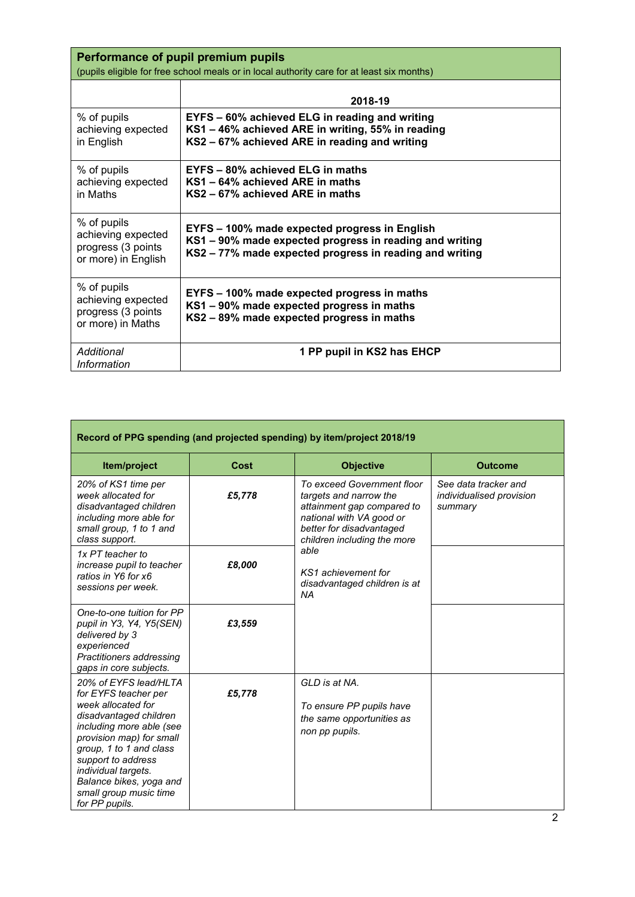| Performance of pupil premium pupils<br>(pupils eligible for free school meals or in local authority care for at least six months) |                                                                                                                                                                     |  |  |  |  |
|-----------------------------------------------------------------------------------------------------------------------------------|---------------------------------------------------------------------------------------------------------------------------------------------------------------------|--|--|--|--|
|                                                                                                                                   | 2018-19                                                                                                                                                             |  |  |  |  |
| % of pupils<br>achieving expected<br>in English                                                                                   | EYFS - 60% achieved ELG in reading and writing<br>KS1 - 46% achieved ARE in writing, 55% in reading<br>KS2 - 67% achieved ARE in reading and writing                |  |  |  |  |
| % of pupils<br>achieving expected<br>in Maths                                                                                     | EYFS - 80% achieved ELG in maths<br>KS1 – 64% achieved ARE in maths<br>KS2 – 67% achieved ARE in maths                                                              |  |  |  |  |
| % of pupils<br>achieving expected<br>progress (3 points<br>or more) in English                                                    | EYFS - 100% made expected progress in English<br>KS1 - 90% made expected progress in reading and writing<br>KS2 - 77% made expected progress in reading and writing |  |  |  |  |
| % of pupils<br>achieving expected<br>progress (3 points<br>or more) in Maths                                                      | EYFS – 100% made expected progress in maths<br>KS1 - 90% made expected progress in maths<br>KS2 - 89% made expected progress in maths                               |  |  |  |  |
| Additional<br><b>Information</b>                                                                                                  | 1 PP pupil in KS2 has EHCP                                                                                                                                          |  |  |  |  |

| Record of PPG spending (and projected spending) by item/project 2018/19                                                                                                                                                                                                                              |        |                                                                                                                                                                                                                                                       |                                                             |  |  |  |
|------------------------------------------------------------------------------------------------------------------------------------------------------------------------------------------------------------------------------------------------------------------------------------------------------|--------|-------------------------------------------------------------------------------------------------------------------------------------------------------------------------------------------------------------------------------------------------------|-------------------------------------------------------------|--|--|--|
| Item/project                                                                                                                                                                                                                                                                                         | Cost   | <b>Objective</b>                                                                                                                                                                                                                                      | <b>Outcome</b>                                              |  |  |  |
| 20% of KS1 time per<br>week allocated for<br>disadvantaged children<br>including more able for<br>small group, 1 to 1 and<br>class support.                                                                                                                                                          | £5,778 | To exceed Government floor<br>targets and narrow the<br>attainment gap compared to<br>national with VA good or<br>better for disadvantaged<br>children including the more<br>able<br>KS1 achievement for<br>disadvantaged children is at<br><b>NA</b> | See data tracker and<br>individualised provision<br>summary |  |  |  |
| 1x PT teacher to<br>increase pupil to teacher<br>ratios in Y6 for x6<br>sessions per week.                                                                                                                                                                                                           | £8,000 |                                                                                                                                                                                                                                                       |                                                             |  |  |  |
| One-to-one tuition for PP<br>pupil in Y3, Y4, Y5(SEN)<br>delivered by 3<br>experienced<br>Practitioners addressing<br>gaps in core subjects.                                                                                                                                                         | £3,559 |                                                                                                                                                                                                                                                       |                                                             |  |  |  |
| 20% of EYFS lead/HLTA<br>for EYFS teacher per<br>week allocated for<br>disadvantaged children<br>including more able (see<br>provision map) for small<br>group, 1 to 1 and class<br>support to address<br>individual targets.<br>Balance bikes, yoga and<br>small group music time<br>for PP pupils. | £5,778 | GLD is at NA.<br>To ensure PP pupils have<br>the same opportunities as<br>non pp pupils.                                                                                                                                                              |                                                             |  |  |  |